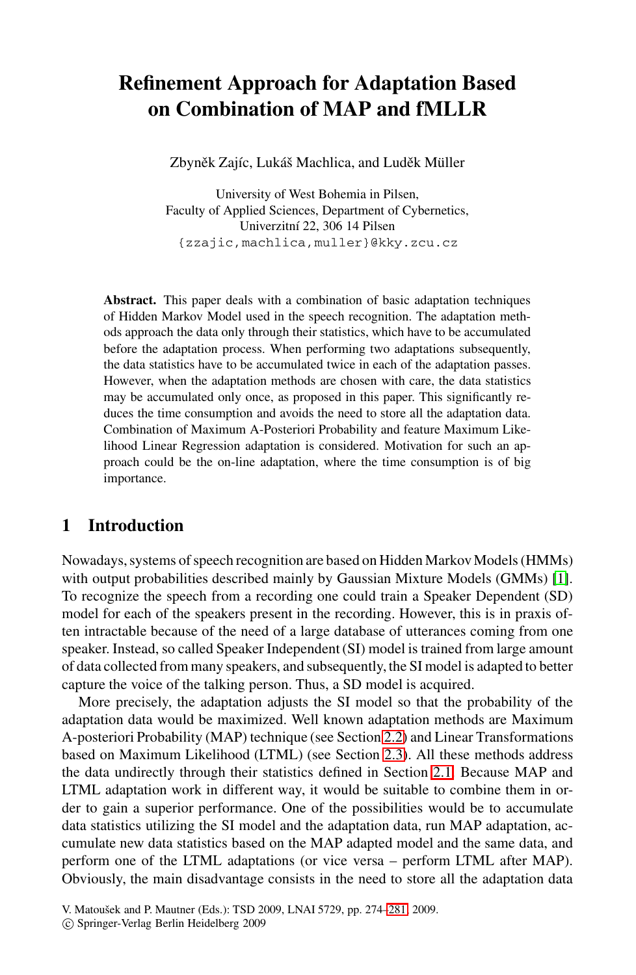# **Refinement Approach for Adaptation Based on Combination of MAP and fMLLR**

Zbyněk Zajíc, Lukáš Machlica, and Luděk Müller

University of West Bohemia in Pilsen, Faculty of Applied Sciences, Department of Cybernetics, Univerzitní 22, 306 14 Pilsen {zzajic,machlica,muller}@kky.zcu.cz

Abstract. This paper deals with a combination of basic adaptation techniques of Hidden Markov Model used in the speech recognition. The adaptation methods approach the data only through their statistics, which have to be accumulated before the adaptation process. When performing two adaptations subsequently, the data statistics have to be accumulated twice in each of the adaptation passes. However, when the adaptation methods are chosen with care, the data statistics may be accumulated only once, as proposed in this paper. This significantly reduces the time consumption and avoids the need to store all the adaptation data. Combination of Maximum A-Posteriori Probability and feature Maximum Likelihood Linear Regression adaptation is considered. Motivati[on](#page-7-0) for such an approach could be the on-line adaptation, where the time consumption is of big importance.

# **1 Introduction**

Nowadays, systems of speech recognition are based on Hidden Markov Models (HMMs) with output probabilities described mainly by Gaussian Mixture Models (GMMs) [1]. To recognize the speech from a [reco](#page-2-0)rding one could train a Speaker Dependent (SD) model for each of the speakers p[resen](#page-2-1)t in the recording. However, this is in praxis often intractable because of the need of a l[arge](#page-1-0) database of utterances coming from one speaker. Instead, so called Speaker Independent (SI) model is trained from large amount of data collected from many speakers, and subsequently, the SI model is adapted to better capture the voice of the talking person. Thus, a SD model is acquired.

More precisely, the adaptation adjusts the SI model so that the probability of the adaptation data would be maximized. Well known adaptation methods are Maximum A-posteriori Probability (MAP) technique (see Section 2.2) and Linear Transformations based on Maximum Likelihood (LTML) (see Section 2.3). All these methods address the data undirectly through their [stati](#page-7-1)stics defined in Section 2.1. Because MAP and LTML adaptation work in different way, it would be suitable to combine them in order to gain a superior performance. One of the possibilities would be to accumulate data statistics utilizing the SI model and the adaptation data, run MAP adaptation, accumulate new data statistics based on the MAP adapted model and the same data, and perform one of the LTML adaptations (or vice versa – perform LTML after MAP). Obviously, the main disadvantage consists in the need to store all the adaptation data

V. Matouˇsek and P. Mautner (Eds.): TSD 2009, LNAI 5729, pp. 274–281, 2009.

<sup>-</sup>c Springer-Verlag Berlin Heidelberg 2009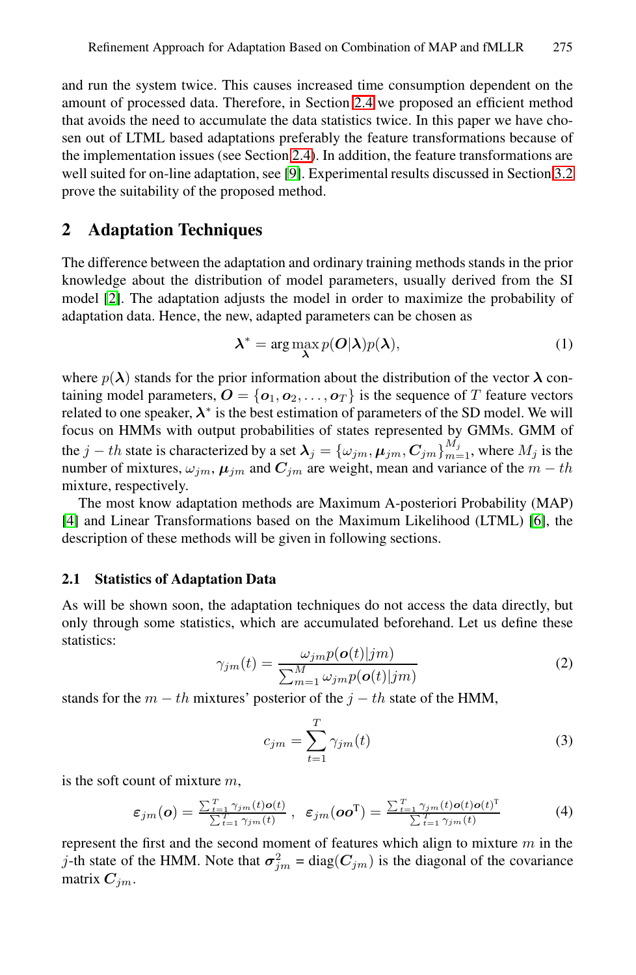and run the system twice. This causes increased time consumption dependent on the amount of processed data. Therefore, in Section 2.4 we proposed an efficient method that avoids the need to accumulate the data statistics twice. In this paper we have chosen out of LTML based adaptations preferably the feature transformations because of the implementation issues (see Section 2.4). In addition, the feature transformations are well suited for on-line adaptation, see [9]. Experimental results discussed in Section 3.2 prove the suitability of the proposed method.

### **2 Adaptation Techniques**

The difference between the adaptation and ordinary training methods stands in the prior knowledge about the distribution of model parameters, usually derived from the SI model [2]. The adaptation adjusts the model in order to maximize the probability of adaptation data. Hence, the new, adapted parameters can be chosen as

$$
\lambda^* = \arg \max_{\lambda} p(O|\lambda)p(\lambda), \tag{1}
$$

<span id="page-1-0"></span>where  $p(\lambda)$  stands for the prior information about the distr[ibu](#page-7-3)tion of the vector  $\lambda$  containing model parameters,  $\mathbf{O} = \{o_1, o_2, \ldots, o_T\}$  is the sequence of T feature vectors related to one speaker,  $\lambda^*$  is the best estimation of parameters of the SD model. We will focus on HMMs with output probabilities of states represented by GMMs. GMM of the  $j - th$  state is characterized by a set  $\lambda_j = {\{\omega_{jm}, \mu_{jm}, C_{jm}\}}_{m=1}^{M_j}$ , where  $M_j$  is the number of mixtures  $\{\psi_{j,m}, \mu_{j,m}\}$  are weight mean and variance of the  $m-th$ number of mixtures,  $\omega_{jm}$ ,  $\mu_{jm}$  and  $C_{jm}$  are weight, mean and variance of the  $m-th$ mixture, respectively.

<span id="page-1-2"></span>The most know adaptation methods are Maximum A-posteriori Probability (MAP) [4] and Linear Transformations based on the Maximum Likelihood (LTML) [6], the description of these methods will be given in following sections.

### **2.1 Statistics of Adaptation Data**

<span id="page-1-1"></span>As will be shown soon, the adaptation techniques do not access the data directly, but only through some statistics, which are accumulated beforehand. Let us define these statistics:

$$
\gamma_{jm}(t) = \frac{\omega_{jm} p(o(t)|jm)}{\sum_{m=1}^{M} \omega_{jm} p(o(t)|jm)}
$$
(2)

stands for the  $m - th$  mixtures' posterior of the  $j - th$  state of the HMM.

$$
c_{jm} = \sum_{t=1}^{T} \gamma_{jm}(t)
$$
 (3)

is the soft count of mixture  $m$ ,

$$
\varepsilon_{jm}(\boldsymbol{o}) = \frac{\sum_{t=1}^{T} \gamma_{jm}(t) o(t)}{\sum_{t=1}^{T} \gamma_{jm}(t)}, \ \ \varepsilon_{jm}(\boldsymbol{o}\boldsymbol{o}^{\mathrm{T}}) = \frac{\sum_{t=1}^{T} \gamma_{jm}(t) o(t) o(t)^{\mathrm{T}}}{\sum_{t=1}^{T} \gamma_{jm}(t)}
$$
(4)

represent the first and the second moment of features which align to mixture  $m$  in the j-th state of the HMM. Note that  $\sigma_{jm}^2 = \text{diag}(C_{jm})$  is the diagonal of the covariance matrix  $C_1$ . matrix  $C_{im}$ .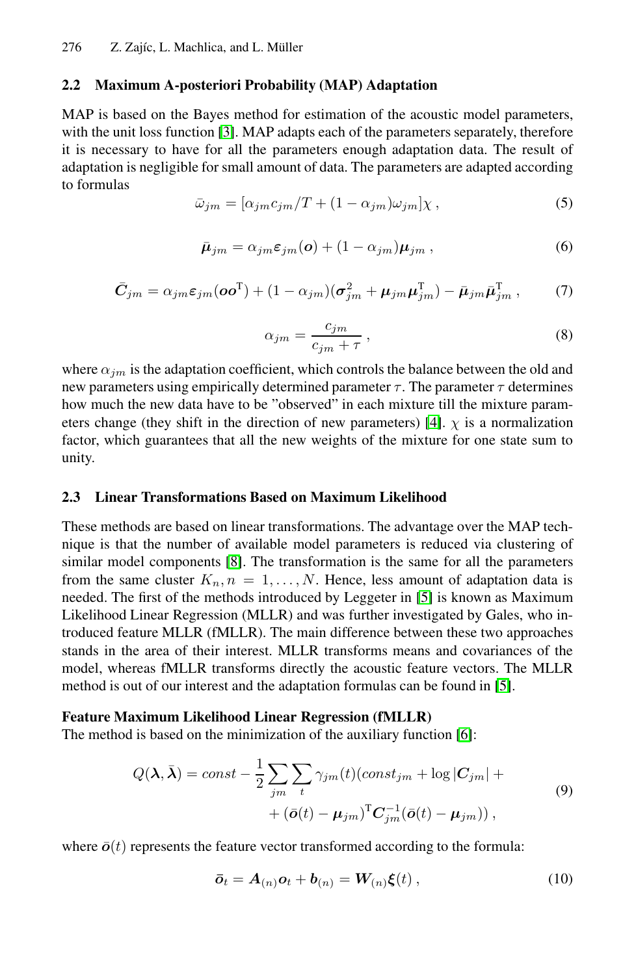<span id="page-2-0"></span>276 Z. Zajíc, L. Machlica, and L. Müller

### **2.2 Maximum A-posteriori Probability (MAP) Adaptation**

MAP is based on the Bayes method for estimation of the acoustic model parameters, with the unit loss function [3]. MAP adapts each of the parameters separately, therefore it is necessary to have for all the parameters enough adaptation data. The result of adaptation is negligible for small amount of data. The parameters are adapted according to formulas

$$
\bar{\omega}_{jm} = [\alpha_{jm}c_{jm}/T + (1 - \alpha_{jm})\omega_{jm}]\chi , \qquad (5)
$$

$$
\bar{\mu}_{jm} = \alpha_{jm}\varepsilon_{jm}(\boldsymbol{o}) + (1 - \alpha_{jm})\mu_{jm}, \qquad (6)
$$

$$
\bar{C}_{jm} = \alpha_{jm}\varepsilon_{jm}(\boldsymbol{o}\boldsymbol{o}^{\mathrm{T}}) + (1 - \alpha_{jm})(\sigma_{jm}^{2} + \boldsymbol{\mu}_{jm}\boldsymbol{\mu}_{jm}^{\mathrm{T}}) - \bar{\boldsymbol{\mu}}_{jm}\bar{\boldsymbol{\mu}}_{jm}^{\mathrm{T}} , \qquad (7)
$$

$$
\alpha_{jm} = \frac{c_{jm}}{c_{jm} + \tau},\tag{8}
$$

<span id="page-2-1"></span>where  $\alpha_{im}$  is the adaptation coefficient, which controls the balance between the old and new parameters using empirically determined parameter  $\tau$ . The parameter  $\tau$  determines how much the new data have to be "observed" in each mixture till the mixture parameters c[han](#page-7-5)ge (they shift in the direction of new parameters) [4].  $\chi$  is a normalization factor, which guarantees that all the new weights of the mixture for one state sum to unity.

#### **2.3 Linear Transformations Based on Maximum Likelihood**

These methods are based on linear transformations. The advantage over the MAP technique is that the number of available model param[ete](#page-7-6)rs is reduced via clustering of similar model components [8]. The transformation is the same for all the parameters from the same cluster  $K_n$ ,  $n = 1, \ldots, N$ . Hence, less amount of adaptation data is needed. The first of the methods introduced b[y L](#page-7-3)eggeter in [5] is known as Maximum Likelihood Linear Regression (MLLR) and was further investigated by Gales, who introduced feature MLLR (fMLLR). The main difference between these two approaches stands in the area of their interest. MLLR transforms means and covariances of the model, whereas fMLLR transforms directly the acoustic feature vectors. The MLLR method is out of our interest and the adaptation formulas can be found in [5].

#### **Feature Maximum Likelihood Linear Regression (fMLLR)**

The method is based on the minimization of the auxiliary function [6]:

$$
Q(\lambda, \bar{\lambda}) = const - \frac{1}{2} \sum_{jm} \sum_{t} \gamma_{jm}(t) (const_{jm} + \log |C_{jm}| +
$$
  
+  $(\bar{o}(t) - \mu_{jm})^{\mathrm{T}} C_{jm}^{-1} (\bar{o}(t) - \mu_{jm}))$ , (9)

where  $\bar{\mathbf{o}}(t)$  represents the feature vector transformed according to the formula:

<span id="page-2-2"></span>
$$
\bar{\boldsymbol{o}}_t = \boldsymbol{A}_{(n)} \boldsymbol{o}_t + \boldsymbol{b}_{(n)} = \boldsymbol{W}_{(n)} \boldsymbol{\xi}(t) ,
$$
\n(10)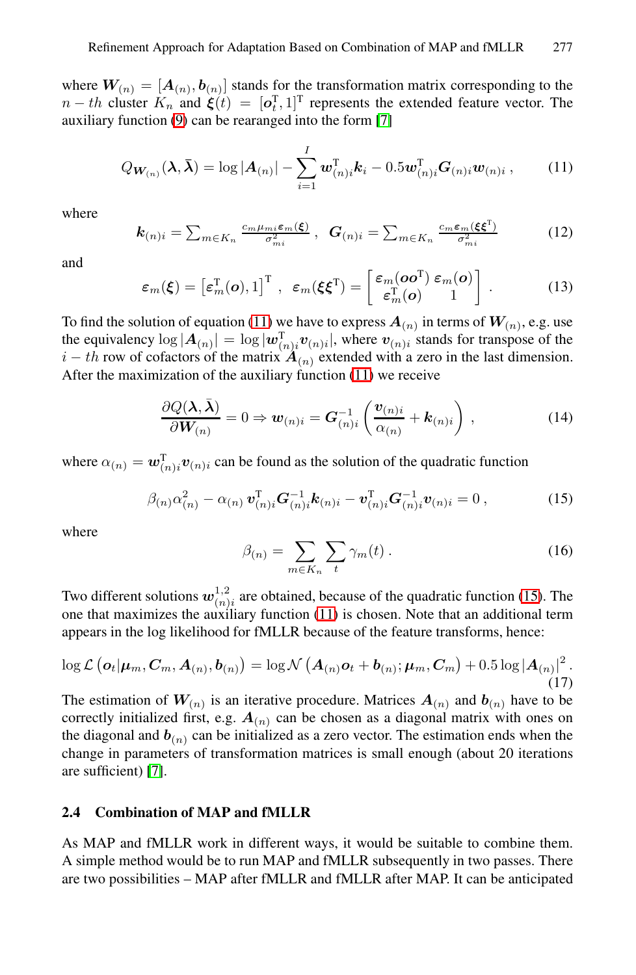where  $W_{(n)} = [A_{(n)}, b_{(n)}]$  stands for the transformation matrix corresponding to the  $n - th$  cluster  $K_n$  and  $\boldsymbol{\xi}(t) = [\boldsymbol{o}_t^T, 1]^T$  represents the extended feature vector. The auxiliary function (9) can be rearanged into the form [7] auxiliary function (9) can be rearanged into the form [7]

<span id="page-3-0"></span>
$$
Q_{\boldsymbol{W}_{(n)}}(\boldsymbol{\lambda},\boldsymbol{\bar{\lambda}})=\log|\boldsymbol{A}_{(n)}|-\sum_{i=1}^I\boldsymbol{w}_{(n)i}^{\mathrm{T}}\boldsymbol{k}_i-0.5\boldsymbol{w}_{(n)i}^{\mathrm{T}}\boldsymbol{G}_{(n)i}\boldsymbol{w}_{(n)i},\qquad(11)
$$

where

$$
\boldsymbol{k}_{(n)i} = \sum_{m \in K_n} \frac{c_m \mu_{mi} \varepsilon_m(\boldsymbol{\xi})}{\sigma_{mi}^2}, \quad \boldsymbol{G}_{(n)i} = \sum_{m \in K_n} \frac{c_m \varepsilon_m(\boldsymbol{\xi} \boldsymbol{\xi}^T)}{\sigma_{mi}^2}
$$
(12)

and

$$
\varepsilon_m(\boldsymbol{\xi}) = \left[\varepsilon_m^{\mathrm{T}}(o), 1\right]^{\mathrm{T}}, \ \ \varepsilon_m(\boldsymbol{\xi}\boldsymbol{\xi}^{\mathrm{T}}) = \begin{bmatrix} \varepsilon_m(oo^{\mathrm{T}}) \ \varepsilon_m(o) \\ \varepsilon_m^{\mathrm{T}}(o) & 1 \end{bmatrix}. \tag{13}
$$

To find the solution of equation (11) we have to express  $A_{(n)}$  in terms of  $W_{(n)}$ , e.g. use the equivalency  $\log |A_{(n)}| = \log |w_{(n)i}^T v_{(n)i}|$ , where  $v_{(n)i}$  stands for transpose of the  $i - th$  row of cofactors of the matrix  $A_{(n)}$  extended with a zero in the last dimension  $i - th$  row of cofactors of the matrix  $A_{(n)}$  extended with a zero in the last dimension. After the maximization of the auxiliary function (11) we receive

<span id="page-3-1"></span>
$$
\frac{\partial Q(\lambda, \bar{\lambda})}{\partial \bm{W}_{(n)}} = 0 \Rightarrow \bm{w}_{(n)i} = \bm{G}_{(n)i}^{-1} \left( \frac{\bm{v}_{(n)i}}{\alpha_{(n)}} + \bm{k}_{(n)i} \right) , \qquad (14)
$$

where  $\alpha_{(n)} = \boldsymbol{w}_{(n)i}^{\text{T}} \boldsymbol{v}_{(n)i}$  $\alpha_{(n)} = \boldsymbol{w}_{(n)i}^{\text{T}} \boldsymbol{v}_{(n)i}$  $\alpha_{(n)} = \boldsymbol{w}_{(n)i}^{\text{T}} \boldsymbol{v}_{(n)i}$  can be found as [the](#page-3-1) solution of the quadratic function

$$
\beta_{(n)} \alpha_{(n)}^2 - \alpha_{(n)} \mathbf{v}_{(n)i}^{\mathrm{T}} \mathbf{G}_{(n)i}^{-1} \mathbf{k}_{(n)i} - \mathbf{v}_{(n)i}^{\mathrm{T}} \mathbf{G}_{(n)i}^{-1} \mathbf{v}_{(n)i} = 0 , \qquad (15)
$$

where

$$
\beta_{(n)} = \sum_{m \in K_n} \sum_{t} \gamma_m(t) \,. \tag{16}
$$

Two different solutions  $w_{(n)i}^{1,2}$  are obtained, because of the quadratic function (15). The one that maximizes the auxiliary function (11) is chosen. Note that an additional term appears in the log likelihood for fMLLR because of the feature transforms, hence:

$$
\log \mathcal{L}\left(\boldsymbol{o}_{t}|\boldsymbol{\mu}_{m},\boldsymbol{C}_{m},\boldsymbol{A}_{(n)},\boldsymbol{b}_{(n)}\right) = \log \mathcal{N}\left(\boldsymbol{A}_{(n)}\boldsymbol{o}_{t}+\boldsymbol{b}_{(n)};\boldsymbol{\mu}_{m},\boldsymbol{C}_{m}\right)+0.5\log|\boldsymbol{A}_{(n)}|^{2}.
$$
\n(17)

The estimation of  $W_{(n)}$  is an iterative procedure. Matrices  $A_{(n)}$  and  $b_{(n)}$  have to be correctly initialized first, e.g.  $A_{(n)}$  can be chosen as a diagonal matrix with ones on the diagonal and  $\mathbf{b}_{(n)}$  can be initialized as a zero vector. The estimation ends when the change in parameters of transformation matrices is small enough (about 20 iterations are sufficient) [7].

### **2.4 Combination of MAP and fMLLR**

As MAP and fMLLR work in different ways, it would be suitable to combine them. A simple method would be to run MAP and fMLLR subsequently in two passes. There are two possibilities – MAP after fMLLR and fMLLR after MAP. It can be anticipated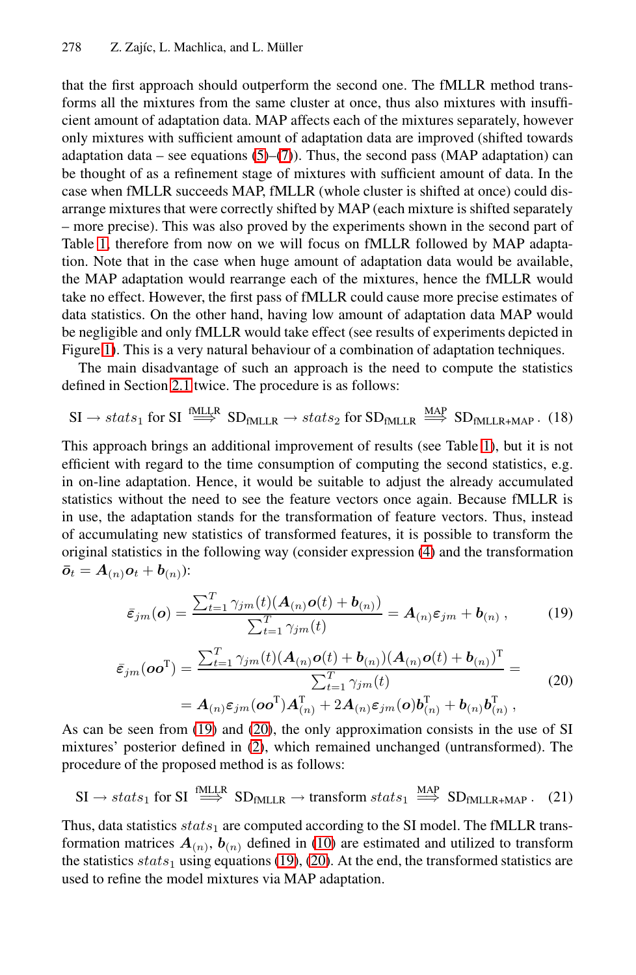#### 278 Z. Zajíc, L. Machlica, and L. Müller

that the first approach should outperform the second one. The fMLLR method transforms all the mixtures from the same cluster at once, thus also mixtures with insufficient amount of adaptation data. MAP affects each of the mixtures separately, however only mixtures with sufficient amount of adaptation data are improved (shifted towards adaptation data – see equations  $(5)$ – $(7)$ ). Thus, the second pass (MAP adaptation) can be thought of as a refinement stage of mixtures with sufficient amount of data. In the case when fMLLR succeeds MAP, fMLLR (whole cluster is shifted at once) could disarrange mixtures that were correctly shifted by MAP (each mixture is shifted separately – more precise). This was also proved by the experiments shown in the second part of [Ta](#page-1-0)ble 1, therefore from now on we will focus on fMLLR followed by MAP adaptation. Note that in the case when huge amount of adaptation data would be available, the MAP adaptation would rearrange each of the mixtures, hence the fMLLR would take no effect. However, the first pass of fMLLR could cause more precise estimates of data statistics. On the other hand, having low am[ou](#page-5-1)nt of adaptation data MAP would be negligible and only fMLLR would take effect (see results of experiments depicted in Figure 1). This is a very natural behaviour of a combination of adaptation techniques.

<span id="page-4-2"></span>The main disadvantage of such an approach is the need to compute the statistics defined in Section 2.1 twice. The procedure is as follows:

$$
SI \to stats_1 \text{ for SI } \overset{fMLLR}{\Longrightarrow} SD_{fMLLR} \to stats_2 \text{ for SD}_{fMLLR} \overset{MAP}{\Longrightarrow} SD_{fMLLR+MAP}. \tag{18}
$$

<span id="page-4-1"></span><span id="page-4-0"></span>This approach brings an additional improvement of results (see Table 1), but it is not efficient with regard to the time consumption of computing the second statistics, e.g. in on-line adaptation. Hence, it would be suitable to adjust the already accumulated statistics without the need to see the feature vectors once again. Because fMLLR is in use, the adaptation stands for the transformation of feature vectors. Thus, instead of accumulating new statistics of transformed features, it is possible to transform the original statistics in the following way (consider expression (4) and the transformation  $\bar{o}_t = A_{(n)} o_t + b_{(n)}$  $\bar{o}_t = A_{(n)} o_t + b_{(n)}$  $\bar{o}_t = A_{(n)} o_t + b_{(n)}$  $\bar{o}_t = A_{(n)} o_t + b_{(n)}$  $\bar{o}_t = A_{(n)} o_t + b_{(n)}$ :

$$
\bar{\varepsilon}_{jm}(\boldsymbol{o}) = \frac{\sum_{t=1}^{T} \gamma_{jm}(t) (\boldsymbol{A}_{(n)} \boldsymbol{o}(t) + \boldsymbol{b}_{(n)})}{\sum_{t=1}^{T} \gamma_{jm}(t)} = \boldsymbol{A}_{(n)} \varepsilon_{jm} + \boldsymbol{b}_{(n)},
$$
(19)

$$
\bar{\varepsilon}_{jm}(\boldsymbol{oo}^{\mathrm{T}}) = \frac{\sum_{t=1}^{T} \gamma_{jm}(t) (A_{(n)}\boldsymbol{o}(t) + \boldsymbol{b}_{(n)})(A_{(n)}\boldsymbol{o}(t) + \boldsymbol{b}_{(n)})^{\mathrm{T}}}{\sum_{t=1}^{T} \gamma_{jm}(t)} = A_{(n)} \varepsilon_{jm}(\boldsymbol{oo}^{\mathrm{T}}) A_{(n)}^{\mathrm{T}} + 2A_{(n)} \varepsilon_{jm}(\boldsymbol{o}) \boldsymbol{b}_{(n)}^{\mathrm{T}} + \boldsymbol{b}_{(n)} \boldsymbol{b}_{(n)}^{\mathrm{T}} ,
$$
\n(20)

As can be seen [fro](#page-4-0)[m](#page-4-1) [\(1](#page-4-1)9) and (20), the only approximation consists in the use of SI mixtures' posterior defined in (2), which remained unchanged (untransformed). The procedure of the proposed method is as follows:

$$
SI \to status_1 \text{ for SI } \overset{fMLLR}{\Longrightarrow} SD_{fMLLR} \to transform \; status_1 \; \overset{MAP}{\Longrightarrow} SD_{fMLLR+MAP}. \quad (21)
$$

Thus, data statistics  $stats_1$  are computed according to the SI model. The fMLLR transformation matrices  $A_{(n)}$ ,  $b_{(n)}$  defined in (10) are estimated and utilized to transform the statistics  $stats_1$  using equations (19), (20). At the end, the transformed statistics are used to refine the model mixtures via MAP adaptation.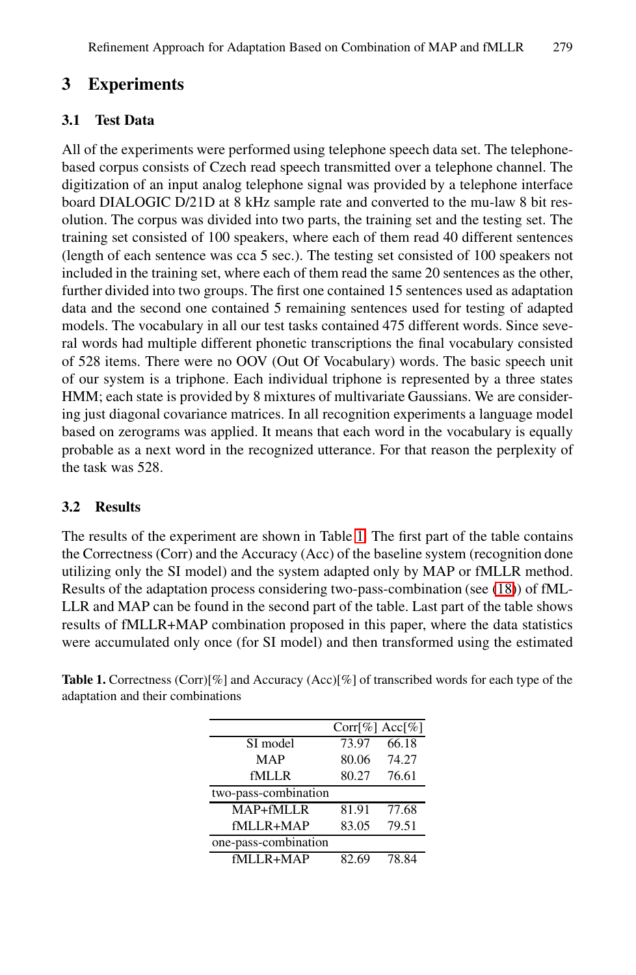# **3 Experiments**

### **3.1 Test Data**

All of the experiments were performed using telephone speech data set. The telephonebased corpus consists of Czech read speech transmitted over a telephone channel. The digitization of an input analog telephone signal was provided by a telephone interface board DIALOGIC D/21D at 8 kHz sample rate and converted to the mu-law 8 bit resolution. The corpus was divided into two parts, the training set and the testing set. The training set consisted of 100 speakers, where each of them read 40 different sentences (length of each sentence was cca 5 sec.). The testing set consisted of 100 speakers not included in the training set, where each of them read the same 20 sentences as the other, further divided into two groups. The first one contained 15 sentences used as adaptation data and the second one contained 5 remaining sentences used for testing of adapted models. The vocabulary in all our test tasks contained 475 different words. Since several words had multiple different phonetic transcriptions the final vocabulary consisted of 528 items. There were no OOV (Out Of Vocabulary) words. The basic speech unit of our system is a triphone. Each individual triphone is represented by a three states HMM; each state is provided [by](#page-5-1) 8 mixtures of multivariate Gaussians. We are considering just diagonal covariance matrices. In all recognition experiments a language model based on zerograms was applied. It means that each word in the vocabulary is equally probable as a next word in the recognized utterance[. Fo](#page-4-2)r that reason the perplexity of the task was 528.

### <span id="page-5-0"></span>**3.2 Results**

<span id="page-5-1"></span>The results of the experiment are shown in Table 1. The first part of the table contains the Correctness (Corr) and the Accuracy (Acc) of the baseline system (recognition done utilizing only the SI model) and the system adapted only by MAP or fMLLR method. Results of the adaptation process considering two-pass-combination (see (18)) of fML-LLR and MAP can be found in the second part of the table. Last part of the table shows results of fMLLR+MAP combination proposed in this paper, where the data statistics were accumulated only once (for SI model) and then transformed using the estimated

|                      | $Corr[\%]$ Acc $[\%]$ |       |
|----------------------|-----------------------|-------|
| SI model             | 73.97                 | 66.18 |
| <b>MAP</b>           | 80.06                 | 74.27 |
| fMLLR                | 80.27                 | 76.61 |
| two-pass-combination |                       |       |
| MAP+fMLLR            | 81.91                 | 77.68 |
| fMLLR+MAP            | 83.05                 | 79.51 |
| one-pass-combination |                       |       |
| fMLLR+MAP            | 82.69                 | 78.84 |

**Table 1.** Correctness (Corr)[%] and Accuracy (Acc)[%] of transcribed words for each type of the adaptation and their combinations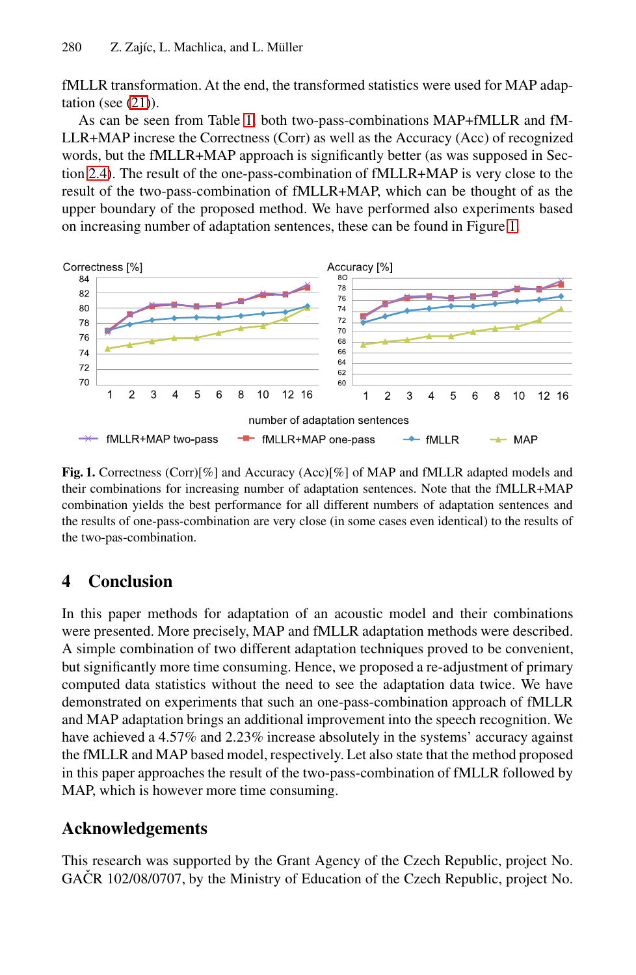#### 280 Z. Zajíc, L. Machlica, and L. Müller

fMLLR transformation. At the end, the transformed sta[tis](#page-6-0)tics were used for MAP adaptation (see  $(21)$ ).

As can be seen from Table 1, both two-pass-combinations MAP+fMLLR and fM-LLR+MAP increse the Correctness (Corr) as well as the Accuracy (Acc) of recognized words, but the fMLLR+MAP approach is significantly better (as was supposed in Section 2.4). The result of the one-pass-combination of fMLLR+MAP is very close to the result of the two-pass-combination of fMLLR+MAP, which can be thought of as the upper boundary of the proposed method. We have performed also experiments based on increasing number of adaptation sentences, these can be found in Figure 1.

<span id="page-6-0"></span>

Fig. 1. Correctness (Corr)[%] and Accuracy (Acc)[%] of MAP and fMLLR adapted models and their combinations for increasing number of adaptation sentences. Note that the fMLLR+MAP combination yields the best performance for all different numbers of adaptation sentences and the results of one-pass-combination are very close (in some cases even identical) to the results of the two-pas-combination.

# **4 Conclusion**

In this paper methods for adaptation of an acoustic model and their combinations were presented. More precisely, MAP and fMLLR adaptation methods were described. A simple combination of two different adaptation techniques proved to be convenient, but significantly more time consuming. Hence, we proposed a re-adjustment of primary computed data statistics without the need to see the adaptation data twice. We have demonstrated on experiments that such an one-pass-combination approach of fMLLR and MAP adaptation brings an additional improvement into the speech recognition. We have achieved a 4.57% and 2.23% increase absolutely in the systems' accuracy against the fMLLR and MAP based model, respectively. Let also state that the method proposed in this paper approaches the result of the two-pass-combination of fMLLR followed by MAP, which is however more time consuming.

# **Acknowledgements**

This research was supported by the Grant Agency of the Czech Republic, project No. GAČR 102/08/0707, by the Ministry of Education of the Czech Republic, project No.